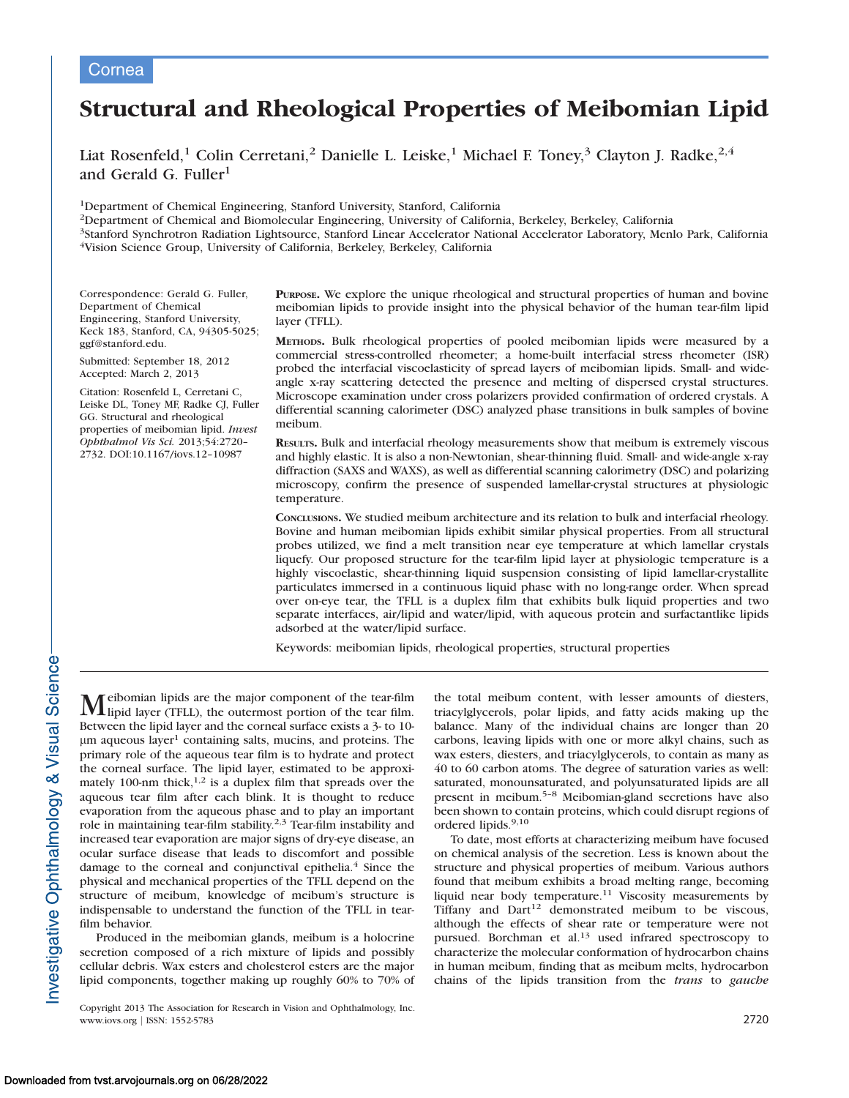## Cornea

# Structural and Rheological Properties of Meibomian Lipid

Liat Rosenfeld,<sup>1</sup> Colin Cerretani,<sup>2</sup> Danielle L. Leiske,<sup>1</sup> Michael F. Toney,<sup>3</sup> Clayton J. Radke,<sup>2,4</sup> and Gerald G. Fuller $<sup>1</sup>$ </sup>

1Department of Chemical Engineering, Stanford University, Stanford, California

2Department of Chemical and Biomolecular Engineering, University of California, Berkeley, Berkeley, California

3Stanford Synchrotron Radiation Lightsource, Stanford Linear Accelerator National Accelerator Laboratory, Menlo Park, California 4Vision Science Group, University of California, Berkeley, Berkeley, California

Correspondence: Gerald G. Fuller, Department of Chemical Engineering, Stanford University, Keck 183, Stanford, CA, 94305-5025; ggf@stanford.edu.

Submitted: September 18, 2012 Accepted: March 2, 2013

Citation: Rosenfeld L, Cerretani C, Leiske DL, Toney MF, Radke CJ, Fuller GG. Structural and rheological properties of meibomian lipid. Invest Ophthalmol Vis Sci. 2013;54:2720– 2732. DOI:10.1167/iovs.12–10987

PURPOSE. We explore the unique rheological and structural properties of human and bovine meibomian lipids to provide insight into the physical behavior of the human tear-film lipid layer (TFLL).

METHODS. Bulk rheological properties of pooled meibomian lipids were measured by a commercial stress-controlled rheometer; a home-built interfacial stress rheometer (ISR) probed the interfacial viscoelasticity of spread layers of meibomian lipids. Small- and wideangle x-ray scattering detected the presence and melting of dispersed crystal structures. Microscope examination under cross polarizers provided confirmation of ordered crystals. A differential scanning calorimeter (DSC) analyzed phase transitions in bulk samples of bovine meibum.

RESULTS. Bulk and interfacial rheology measurements show that meibum is extremely viscous and highly elastic. It is also a non-Newtonian, shear-thinning fluid. Small- and wide-angle x-ray diffraction (SAXS and WAXS), as well as differential scanning calorimetry (DSC) and polarizing microscopy, confirm the presence of suspended lamellar-crystal structures at physiologic temperature.

CONCLUSIONS. We studied meibum architecture and its relation to bulk and interfacial rheology. Bovine and human meibomian lipids exhibit similar physical properties. From all structural probes utilized, we find a melt transition near eye temperature at which lamellar crystals liquefy. Our proposed structure for the tear-film lipid layer at physiologic temperature is a highly viscoelastic, shear-thinning liquid suspension consisting of lipid lamellar-crystallite particulates immersed in a continuous liquid phase with no long-range order. When spread over on-eye tear, the TFLL is a duplex film that exhibits bulk liquid properties and two separate interfaces, air/lipid and water/lipid, with aqueous protein and surfactantlike lipids adsorbed at the water/lipid surface.

Keywords: meibomian lipids, rheological properties, structural properties

Meibomian lipids are the major component of the tear-film<br>lipid layer (TFLL), the outermost portion of the tear film. Between the lipid layer and the corneal surface exists a 3- to 10-  $\mu$ m aqueous layer<sup>1</sup> containing salts, mucins, and proteins. The primary role of the aqueous tear film is to hydrate and protect the corneal surface. The lipid layer, estimated to be approximately 100-nm thick,<sup>1,2</sup> is a duplex film that spreads over the aqueous tear film after each blink. It is thought to reduce evaporation from the aqueous phase and to play an important role in maintaining tear-film stability.2,3 Tear-film instability and increased tear evaporation are major signs of dry-eye disease, an ocular surface disease that leads to discomfort and possible damage to the corneal and conjunctival epithelia. $4$  Since the physical and mechanical properties of the TFLL depend on the structure of meibum, knowledge of meibum's structure is indispensable to understand the function of the TFLL in tearfilm behavior.

Produced in the meibomian glands, meibum is a holocrine secretion composed of a rich mixture of lipids and possibly cellular debris. Wax esters and cholesterol esters are the major lipid components, together making up roughly 60% to 70% of

Copyright 2013 The Association for Research in Vision and Ophthalmology, Inc. www.iovs.org | ISSN: 1552-5783 2720

the total meibum content, with lesser amounts of diesters, triacylglycerols, polar lipids, and fatty acids making up the balance. Many of the individual chains are longer than 20 carbons, leaving lipids with one or more alkyl chains, such as wax esters, diesters, and triacylglycerols, to contain as many as 40 to 60 carbon atoms. The degree of saturation varies as well: saturated, monounsaturated, and polyunsaturated lipids are all present in meibum.5–8 Meibomian-gland secretions have also been shown to contain proteins, which could disrupt regions of ordered lipids.<sup>9,10</sup>

To date, most efforts at characterizing meibum have focused on chemical analysis of the secretion. Less is known about the structure and physical properties of meibum. Various authors found that meibum exhibits a broad melting range, becoming liquid near body temperature.<sup>11</sup> Viscosity measurements by Tiffany and Dart<sup>12</sup> demonstrated meibum to be viscous, although the effects of shear rate or temperature were not pursued. Borchman et al.<sup>13</sup> used infrared spectroscopy to characterize the molecular conformation of hydrocarbon chains in human meibum, finding that as meibum melts, hydrocarbon chains of the lipids transition from the trans to gauche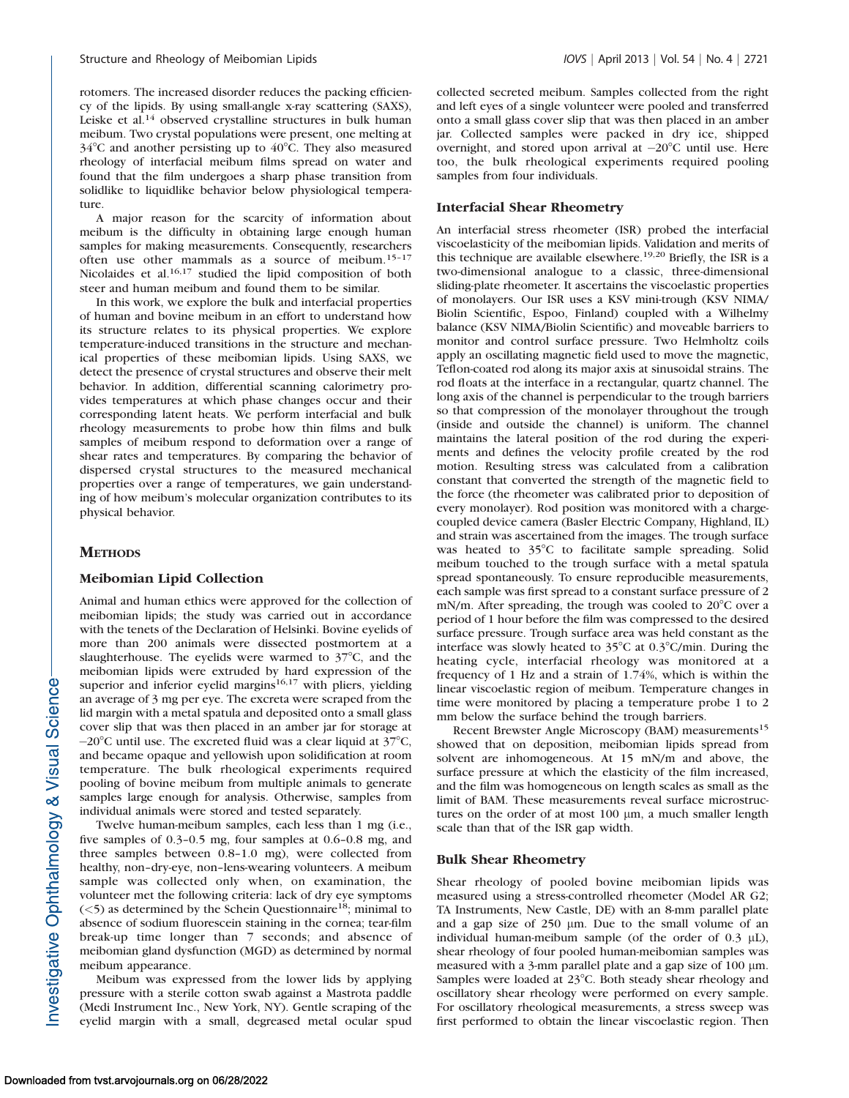rotomers. The increased disorder reduces the packing efficiency of the lipids. By using small-angle x-ray scattering (SAXS), Leiske et al.<sup>14</sup> observed crystalline structures in bulk human meibum. Two crystal populations were present, one melting at  $34^{\circ}$ C and another persisting up to  $40^{\circ}$ C. They also measured rheology of interfacial meibum films spread on water and found that the film undergoes a sharp phase transition from solidlike to liquidlike behavior below physiological temperature.

A major reason for the scarcity of information about meibum is the difficulty in obtaining large enough human samples for making measurements. Consequently, researchers often use other mammals as a source of meibum.15–17 Nicolaides et al.<sup>16,17</sup> studied the lipid composition of both steer and human meibum and found them to be similar.

In this work, we explore the bulk and interfacial properties of human and bovine meibum in an effort to understand how its structure relates to its physical properties. We explore temperature-induced transitions in the structure and mechanical properties of these meibomian lipids. Using SAXS, we detect the presence of crystal structures and observe their melt behavior. In addition, differential scanning calorimetry provides temperatures at which phase changes occur and their corresponding latent heats. We perform interfacial and bulk rheology measurements to probe how thin films and bulk samples of meibum respond to deformation over a range of shear rates and temperatures. By comparing the behavior of dispersed crystal structures to the measured mechanical properties over a range of temperatures, we gain understanding of how meibum's molecular organization contributes to its physical behavior.

## **METHODS**

## Meibomian Lipid Collection

Animal and human ethics were approved for the collection of meibomian lipids; the study was carried out in accordance with the tenets of the Declaration of Helsinki. Bovine eyelids of more than 200 animals were dissected postmortem at a slaughterhouse. The eyelids were warmed to  $37^{\circ}$ C, and the meibomian lipids were extruded by hard expression of the superior and inferior eyelid margins<sup>16,17</sup> with pliers, yielding an average of 3 mg per eye. The excreta were scraped from the lid margin with a metal spatula and deposited onto a small glass cover slip that was then placed in an amber jar for storage at  $-20^{\circ}$ C until use. The excreted fluid was a clear liquid at 37 $^{\circ}$ C, and became opaque and yellowish upon solidification at room temperature. The bulk rheological experiments required pooling of bovine meibum from multiple animals to generate samples large enough for analysis. Otherwise, samples from individual animals were stored and tested separately.

Twelve human-meibum samples, each less than 1 mg (i.e., five samples of 0.3–0.5 mg, four samples at 0.6–0.8 mg, and three samples between 0.8–1.0 mg), were collected from healthy, non–dry-eye, non–lens-wearing volunteers. A meibum sample was collected only when, on examination, the volunteer met the following criteria: lack of dry eye symptoms  $(<$  5) as determined by the Schein Questionnaire<sup>18</sup>; minimal to absence of sodium fluorescein staining in the cornea; tear-film break-up time longer than 7 seconds; and absence of meibomian gland dysfunction (MGD) as determined by normal meibum appearance.

Meibum was expressed from the lower lids by applying pressure with a sterile cotton swab against a Mastrota paddle (Medi Instrument Inc., New York, NY). Gentle scraping of the eyelid margin with a small, degreased metal ocular spud collected secreted meibum. Samples collected from the right and left eyes of a single volunteer were pooled and transferred onto a small glass cover slip that was then placed in an amber jar. Collected samples were packed in dry ice, shipped overnight, and stored upon arrival at  $-20^{\circ}$ C until use. Here too, the bulk rheological experiments required pooling samples from four individuals.

## Interfacial Shear Rheometry

An interfacial stress rheometer (ISR) probed the interfacial viscoelasticity of the meibomian lipids. Validation and merits of this technique are available elsewhere.19,20 Briefly, the ISR is a two-dimensional analogue to a classic, three-dimensional sliding-plate rheometer. It ascertains the viscoelastic properties of monolayers. Our ISR uses a KSV mini-trough (KSV NIMA/ Biolin Scientific, Espoo, Finland) coupled with a Wilhelmy balance (KSV NIMA/Biolin Scientific) and moveable barriers to monitor and control surface pressure. Two Helmholtz coils apply an oscillating magnetic field used to move the magnetic, Teflon-coated rod along its major axis at sinusoidal strains. The rod floats at the interface in a rectangular, quartz channel. The long axis of the channel is perpendicular to the trough barriers so that compression of the monolayer throughout the trough (inside and outside the channel) is uniform. The channel maintains the lateral position of the rod during the experiments and defines the velocity profile created by the rod motion. Resulting stress was calculated from a calibration constant that converted the strength of the magnetic field to the force (the rheometer was calibrated prior to deposition of every monolayer). Rod position was monitored with a chargecoupled device camera (Basler Electric Company, Highland, IL) and strain was ascertained from the images. The trough surface was heated to 35°C to facilitate sample spreading. Solid meibum touched to the trough surface with a metal spatula spread spontaneously. To ensure reproducible measurements, each sample was first spread to a constant surface pressure of 2 mN/m. After spreading, the trough was cooled to  $20^{\circ}$ C over a period of 1 hour before the film was compressed to the desired surface pressure. Trough surface area was held constant as the interface was slowly heated to  $35^{\circ}$ C at 0.3°C/min. During the heating cycle, interfacial rheology was monitored at a frequency of 1 Hz and a strain of 1.74%, which is within the linear viscoelastic region of meibum. Temperature changes in time were monitored by placing a temperature probe 1 to 2 mm below the surface behind the trough barriers.

Recent Brewster Angle Microscopy (BAM) measurements<sup>15</sup> showed that on deposition, meibomian lipids spread from solvent are inhomogeneous. At 15 mN/m and above, the surface pressure at which the elasticity of the film increased, and the film was homogeneous on length scales as small as the limit of BAM. These measurements reveal surface microstructures on the order of at most  $100 \mu m$ , a much smaller length scale than that of the ISR gap width.

## Bulk Shear Rheometry

Shear rheology of pooled bovine meibomian lipids was measured using a stress-controlled rheometer (Model AR G2; TA Instruments, New Castle, DE) with an 8-mm parallel plate and a gap size of  $250 \mu m$ . Due to the small volume of an individual human-meibum sample (of the order of  $0.3 \mu L$ ), shear rheology of four pooled human-meibomian samples was measured with a 3-mm parallel plate and a gap size of  $100 \mu m$ . Samples were loaded at  $23^{\circ}$ C. Both steady shear rheology and oscillatory shear rheology were performed on every sample. For oscillatory rheological measurements, a stress sweep was first performed to obtain the linear viscoelastic region. Then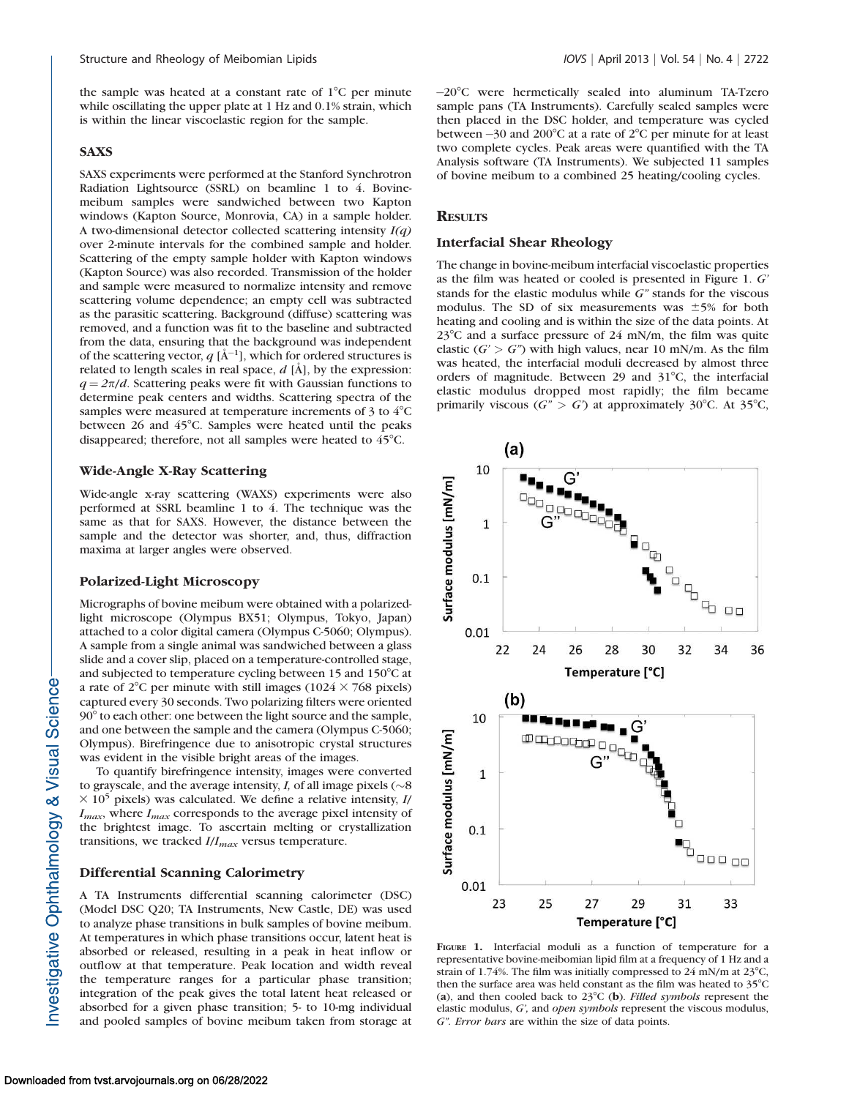the sample was heated at a constant rate of  $1^{\circ}$ C per minute while oscillating the upper plate at 1 Hz and 0.1% strain, which is within the linear viscoelastic region for the sample.

#### SAXS

SAXS experiments were performed at the Stanford Synchrotron Radiation Lightsource (SSRL) on beamline 1 to 4. Bovinemeibum samples were sandwiched between two Kapton windows (Kapton Source, Monrovia, CA) in a sample holder. A two-dimensional detector collected scattering intensity  $I(q)$ over 2-minute intervals for the combined sample and holder. Scattering of the empty sample holder with Kapton windows (Kapton Source) was also recorded. Transmission of the holder and sample were measured to normalize intensity and remove scattering volume dependence; an empty cell was subtracted as the parasitic scattering. Background (diffuse) scattering was removed, and a function was fit to the baseline and subtracted from the data, ensuring that the background was independent of the scattering vector,  $q$  [Å<sup>-1</sup>], which for ordered structures is related to length scales in real space,  $d$  [A], by the expression:  $q = 2\pi/d$ . Scattering peaks were fit with Gaussian functions to determine peak centers and widths. Scattering spectra of the samples were measured at temperature increments of  $3$  to  $4^{\circ}$ C between 26 and 45°C. Samples were heated until the peaks disappeared; therefore, not all samples were heated to  $45^{\circ}$ C.

#### Wide-Angle X-Ray Scattering

Wide-angle x-ray scattering (WAXS) experiments were also performed at SSRL beamline 1 to 4. The technique was the same as that for SAXS. However, the distance between the sample and the detector was shorter, and, thus, diffraction maxima at larger angles were observed.

#### Polarized-Light Microscopy

Micrographs of bovine meibum were obtained with a polarizedlight microscope (Olympus BX51; Olympus, Tokyo, Japan) attached to a color digital camera (Olympus C-5060; Olympus). A sample from a single animal was sandwiched between a glass slide and a cover slip, placed on a temperature-controlled stage, and subjected to temperature cycling between 15 and  $150^{\circ}$ C at a rate of 2<sup>o</sup>C per minute with still images (1024  $\times$  768 pixels) captured every 30 seconds. Two polarizing filters were oriented 90° to each other: one between the light source and the sample, and one between the sample and the camera (Olympus C-5060; Olympus). Birefringence due to anisotropic crystal structures was evident in the visible bright areas of the images.

To quantify birefringence intensity, images were converted to grayscale, and the average intensity,  $I$ , of all image pixels ( $\sim$ 8)  $\times$  10<sup>5</sup> pixels) was calculated. We define a relative intensity, I/  $I_{max}$ , where  $I_{max}$  corresponds to the average pixel intensity of the brightest image. To ascertain melting or crystallization transitions, we tracked  $I/I_{max}$  versus temperature.

#### Differential Scanning Calorimetry

A TA Instruments differential scanning calorimeter (DSC) (Model DSC Q20; TA Instruments, New Castle, DE) was used to analyze phase transitions in bulk samples of bovine meibum. At temperatures in which phase transitions occur, latent heat is absorbed or released, resulting in a peak in heat inflow or outflow at that temperature. Peak location and width reveal the temperature ranges for a particular phase transition; integration of the peak gives the total latent heat released or absorbed for a given phase transition; 5- to 10-mg individual and pooled samples of bovine meibum taken from storage at

-20°C were hermetically sealed into aluminum TA-Tzero sample pans (TA Instruments). Carefully sealed samples were then placed in the DSC holder, and temperature was cycled between  $-30$  and 200°C at a rate of 2°C per minute for at least two complete cycles. Peak areas were quantified with the TA Analysis software (TA Instruments). We subjected 11 samples of bovine meibum to a combined 25 heating/cooling cycles.

## **RESULTS**

## Interfacial Shear Rheology

The change in bovine-meibum interfacial viscoelastic properties as the film was heated or cooled is presented in Figure 1. G' stands for the elastic modulus while G'' stands for the viscous modulus. The SD of six measurements was  $\pm$ 5% for both heating and cooling and is within the size of the data points. At  $23^{\circ}$ C and a surface pressure of 24 mN/m, the film was quite elastic  $(G' > G'')$  with high values, near 10 mN/m. As the film was heated, the interfacial moduli decreased by almost three orders of magnitude. Between 29 and  $31^{\circ}$ C, the interfacial elastic modulus dropped most rapidly; the film became primarily viscous ( $G'' > G'$ ) at approximately 30°C. At 35°C,



FIGURE 1. Interfacial moduli as a function of temperature for a representative bovine-meibomian lipid film at a frequency of 1 Hz and a strain of 1.74%. The film was initially compressed to 24 mN/m at  $23^{\circ}$ C, then the surface area was held constant as the film was heated to  $35^{\circ}$ C (a), and then cooled back to  $23^{\circ}$ C (b). Filled symbols represent the elastic modulus, G', and open symbols represent the viscous modulus, G''. Error bars are within the size of data points.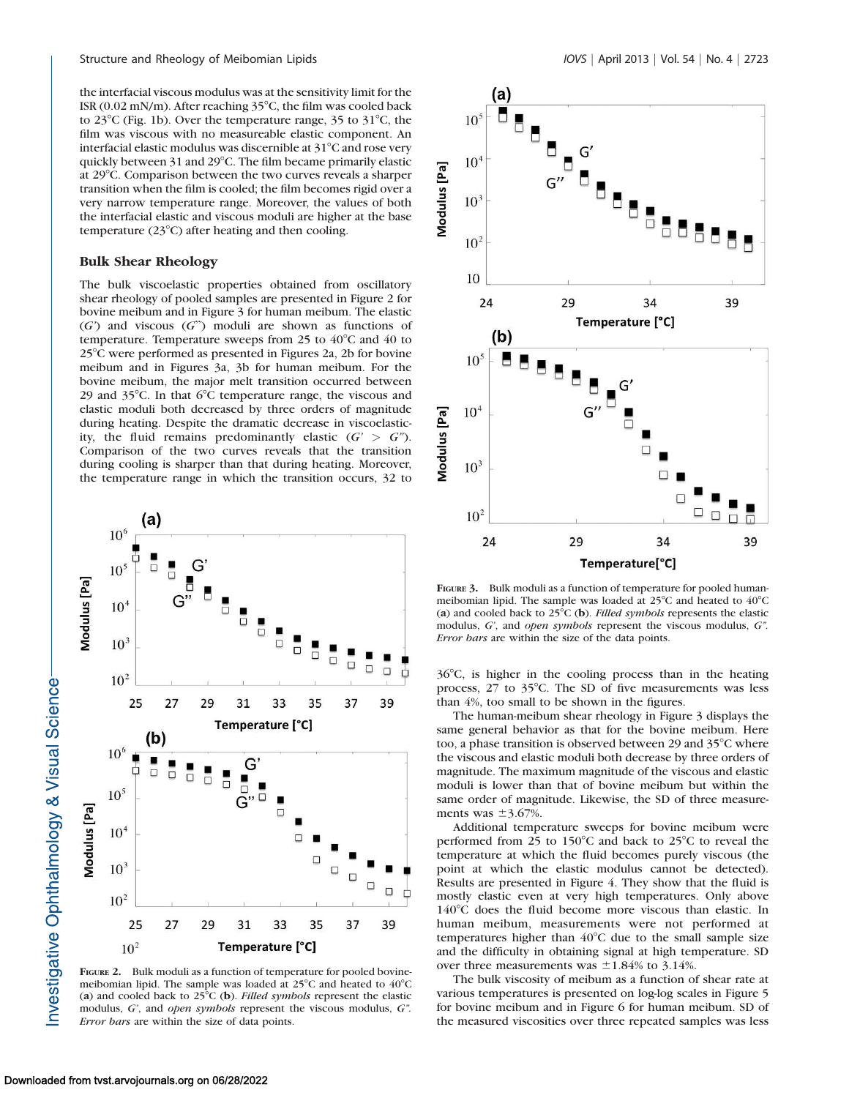the interfacial viscous modulus was at the sensitivity limit for the ISR (0.02 mN/m). After reaching  $35^{\circ}$ C, the film was cooled back to  $23^{\circ}$ C (Fig. 1b). Over the temperature range, 35 to  $31^{\circ}$ C, the film was viscous with no measureable elastic component. An interfacial elastic modulus was discernible at  $31^{\circ}$ C and rose very quickly between 31 and 29°C. The film became primarily elastic at 29°C. Comparison between the two curves reveals a sharper transition when the film is cooled; the film becomes rigid over a very narrow temperature range. Moreover, the values of both the interfacial elastic and viscous moduli are higher at the base temperature  $(23^{\circ}C)$  after heating and then cooling.

#### Bulk Shear Rheology

The bulk viscoelastic properties obtained from oscillatory shear rheology of pooled samples are presented in Figure 2 for bovine meibum and in Figure 3 for human meibum. The elastic  $(G')$  and viscous  $(G'')$  moduli are shown as functions of temperature. Temperature sweeps from 25 to  $40^{\circ}$ C and 40 to  $25^{\circ}$ C were performed as presented in Figures 2a, 2b for bovine meibum and in Figures 3a, 3b for human meibum. For the bovine meibum, the major melt transition occurred between 29 and  $35^{\circ}$ C. In that  $6^{\circ}$ C temperature range, the viscous and elastic moduli both decreased by three orders of magnitude during heating. Despite the dramatic decrease in viscoelasticity, the fluid remains predominantly elastic  $(G' > G'')$ . Comparison of the two curves reveals that the transition during cooling is sharper than that during heating. Moreover, the temperature range in which the transition occurs, 32 to



FIGURE 2. Bulk moduli as a function of temperature for pooled bovinemeibomian lipid. The sample was loaded at  $25^{\circ}$ C and heated to  $40^{\circ}$ C (a) and cooled back to  $25^{\circ}C$  (b). Filled symbols represent the elastic modulus, G', and open symbols represent the viscous modulus, G''. Error bars are within the size of data points.



FIGURE 3. Bulk moduli as a function of temperature for pooled humanmeibomian lipid. The sample was loaded at  $25^{\circ}$ C and heated to  $40^{\circ}$ C (a) and cooled back to  $25^{\circ}$ C (b). Filled symbols represents the elastic modulus, G', and open symbols represent the viscous modulus, G''. Error bars are within the size of the data points.

 $36^{\circ}$ C, is higher in the cooling process than in the heating process,  $27$  to  $35^{\circ}$ C. The SD of five measurements was less than 4%, too small to be shown in the figures.

The human-meibum shear rheology in Figure 3 displays the same general behavior as that for the bovine meibum. Here too, a phase transition is observed between 29 and  $35^{\circ}$ C where the viscous and elastic moduli both decrease by three orders of magnitude. The maximum magnitude of the viscous and elastic moduli is lower than that of bovine meibum but within the same order of magnitude. Likewise, the SD of three measurements was  $\pm$ 3.67%.

Additional temperature sweeps for bovine meibum were performed from 25 to 150 $\degree$ C and back to 25 $\degree$ C to reveal the temperature at which the fluid becomes purely viscous (the point at which the elastic modulus cannot be detected). Results are presented in Figure 4. They show that the fluid is mostly elastic even at very high temperatures. Only above  $140^{\circ}$ C does the fluid become more viscous than elastic. In human meibum, measurements were not performed at temperatures higher than  $40^{\circ}$ C due to the small sample size and the difficulty in obtaining signal at high temperature. SD over three measurements was  $\pm 1.84\%$  to 3.14%.

The bulk viscosity of meibum as a function of shear rate at various temperatures is presented on log-log scales in Figure 5 for bovine meibum and in Figure 6 for human meibum. SD of the measured viscosities over three repeated samples was less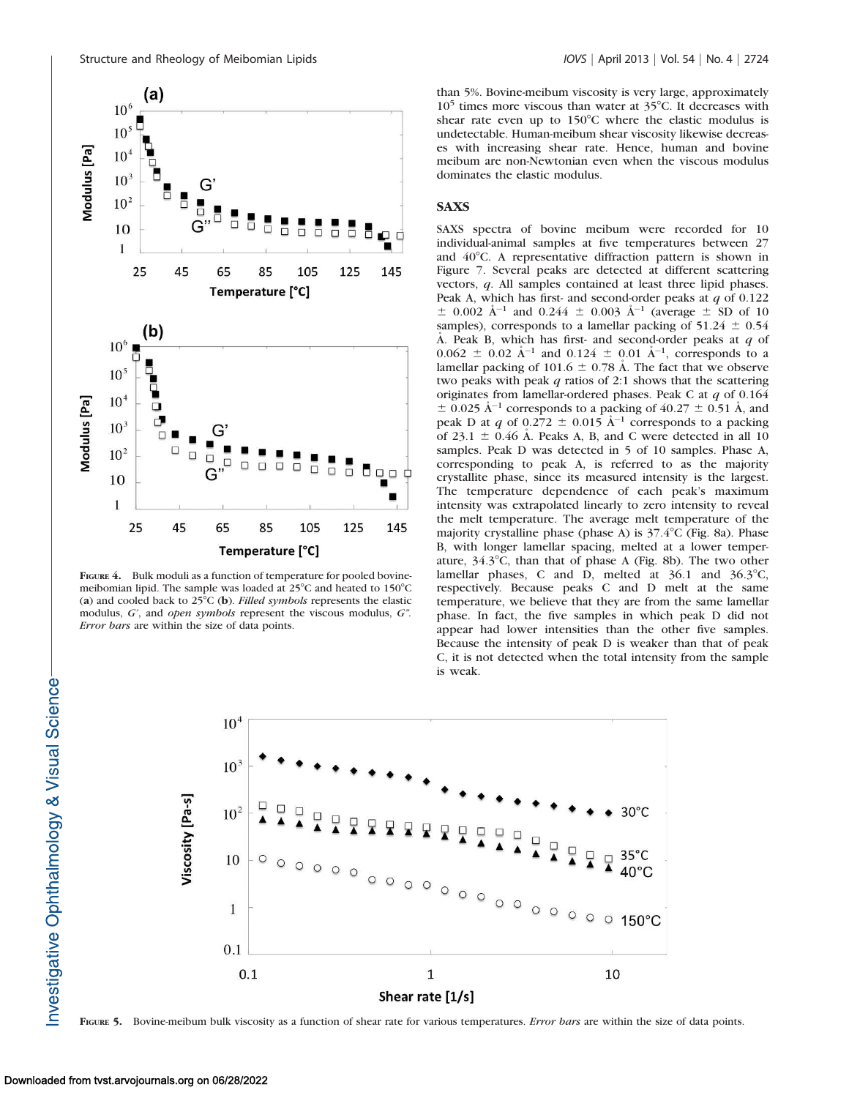

FIGURE 4. Bulk moduli as a function of temperature for pooled bovinemeibomian lipid. The sample was loaded at  $25^{\circ}$ C and heated to  $150^{\circ}$ C (a) and cooled back to  $25^{\circ}C$  (b). Filled symbols represents the elastic modulus, G', and open symbols represent the viscous modulus, G''. Error bars are within the size of data points.

than 5%. Bovine-meibum viscosity is very large, approximately  $10<sup>5</sup>$  times more viscous than water at  $35<sup>°</sup>C$ . It decreases with shear rate even up to  $150^{\circ}$ C where the elastic modulus is undetectable. Human-meibum shear viscosity likewise decreases with increasing shear rate. Hence, human and bovine meibum are non-Newtonian even when the viscous modulus dominates the elastic modulus.

## **SAXS**

SAXS spectra of bovine meibum were recorded for 10 individual-animal samples at five temperatures between 27 and  $40^{\circ}$ C. A representative diffraction pattern is shown in Figure 7. Several peaks are detected at different scattering vectors, q. All samples contained at least three lipid phases. Peak A, which has first- and second-order peaks at  $q$  of 0.122  $\pm$  0.002 Å<sup>-1</sup> and 0.244  $\pm$  0.003 Å<sup>-1</sup> (average  $\pm$  SD of 10 samples), corresponds to a lamellar packing of  $51.24 \pm 0.54$ A. Peak B, which has first- and second-order peaks at  $q$  of  $0.062 \pm 0.02$  Å<sup>-1</sup> and  $0.124 \pm 0.01$  Å<sup>-1</sup>, corresponds to a lamellar packing of 101.6  $\pm$  0.78 Å. The fact that we observe two peaks with peak  $q$  ratios of 2:1 shows that the scattering originates from lamellar-ordered phases. Peak C at  $q$  of 0.164  $\pm$  0.025 Å<sup>-1</sup> corresponds to a packing of 40.27  $\pm$  0.51 Å, and peak D at q of  $0.272 \pm 0.015$   $\AA^{-1}$  corresponds to a packing of 23.1  $\pm$  0.46 Å. Peaks A, B, and C were detected in all 10 samples. Peak D was detected in 5 of 10 samples. Phase A, corresponding to peak A, is referred to as the majority crystallite phase, since its measured intensity is the largest. The temperature dependence of each peak's maximum intensity was extrapolated linearly to zero intensity to reveal the melt temperature. The average melt temperature of the majority crystalline phase (phase A) is  $37.4^{\circ}$ C (Fig. 8a). Phase B, with longer lamellar spacing, melted at a lower temperature,  $34.3^{\circ}$ C, than that of phase A (Fig. 8b). The two other lamellar phases, C and D, melted at  $36.1$  and  $36.3^{\circ}$ C, respectively. Because peaks C and D melt at the same temperature, we believe that they are from the same lamellar phase. In fact, the five samples in which peak D did not appear had lower intensities than the other five samples. Because the intensity of peak D is weaker than that of peak C, it is not detected when the total intensity from the sample is weak.



FIGURE 5. Bovine-meibum bulk viscosity as a function of shear rate for various temperatures. Error bars are within the size of data points.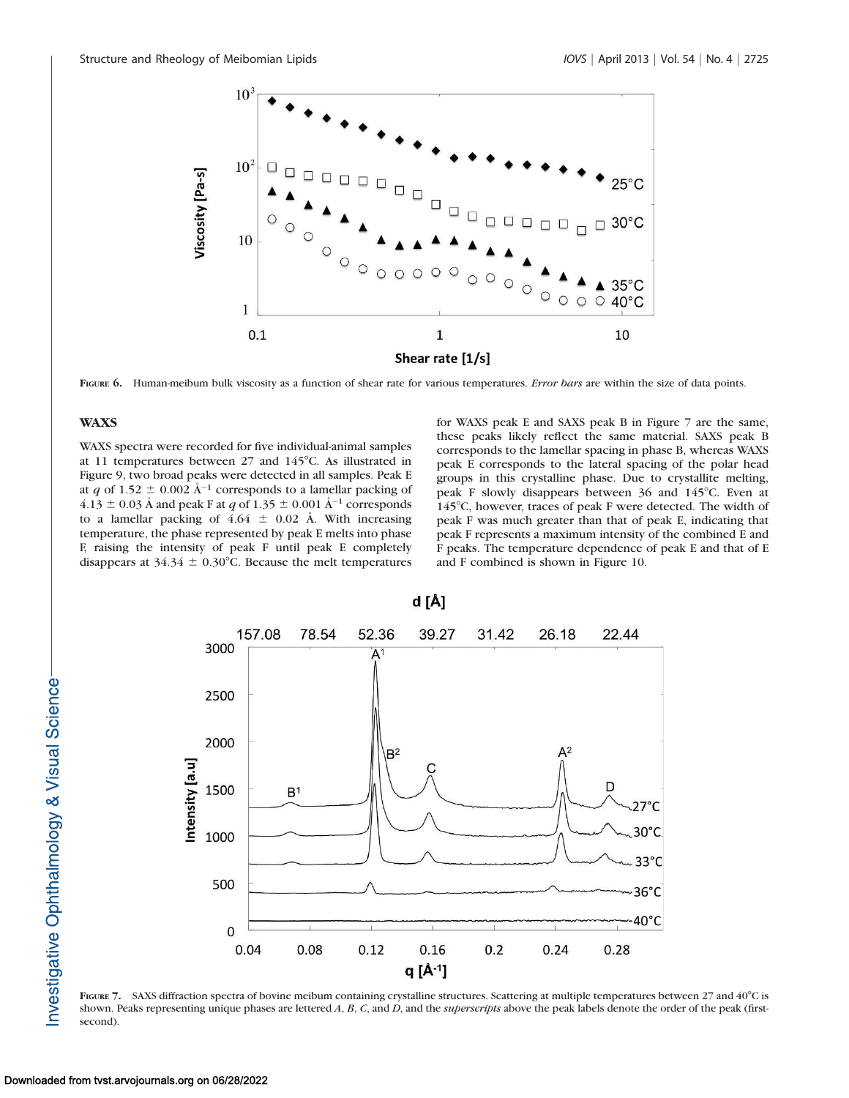

FIGURE 6. Human-meibum bulk viscosity as a function of shear rate for various temperatures. Error bars are within the size of data points.

## **WAXS**

WAXS spectra were recorded for five individual-animal samples at 11 temperatures between  $27$  and  $145^{\circ}$ C. As illustrated in Figure 9, two broad peaks were detected in all samples. Peak E at q of 1.52  $\pm$  0.002 Å<sup>-1</sup> corresponds to a lamellar packing of  $4.13 \pm 0.03$  Å and peak F at q of  $1.35 \pm 0.001$  Å<sup>-1</sup> corresponds to a lamellar packing of  $4.64 \pm 0.02$  Å. With increasing temperature, the phase represented by peak E melts into phase F, raising the intensity of peak F until peak E completely disappears at  $34.34 \pm 0.30^{\circ}$ C. Because the melt temperatures

for WAXS peak E and SAXS peak B in Figure 7 are the same, these peaks likely reflect the same material. SAXS peak B corresponds to the lamellar spacing in phase B, whereas WAXS peak E corresponds to the lateral spacing of the polar head groups in this crystalline phase. Due to crystallite melting, peak F slowly disappears between  $36$  and  $145^{\circ}$ C. Even at 145°C, however, traces of peak F were detected. The width of peak F was much greater than that of peak E, indicating that peak F represents a maximum intensity of the combined E and F peaks. The temperature dependence of peak E and that of E and F combined is shown in Figure 10.



FIGURE 7. SAXS diffraction spectra of bovine meibum containing crystalline structures. Scattering at multiple temperatures between 27 and 40°C is shown. Peaks representing unique phases are lettered A, B, C, and D, and the *superscripts* above the peak labels denote the order of the peak (firstsecond).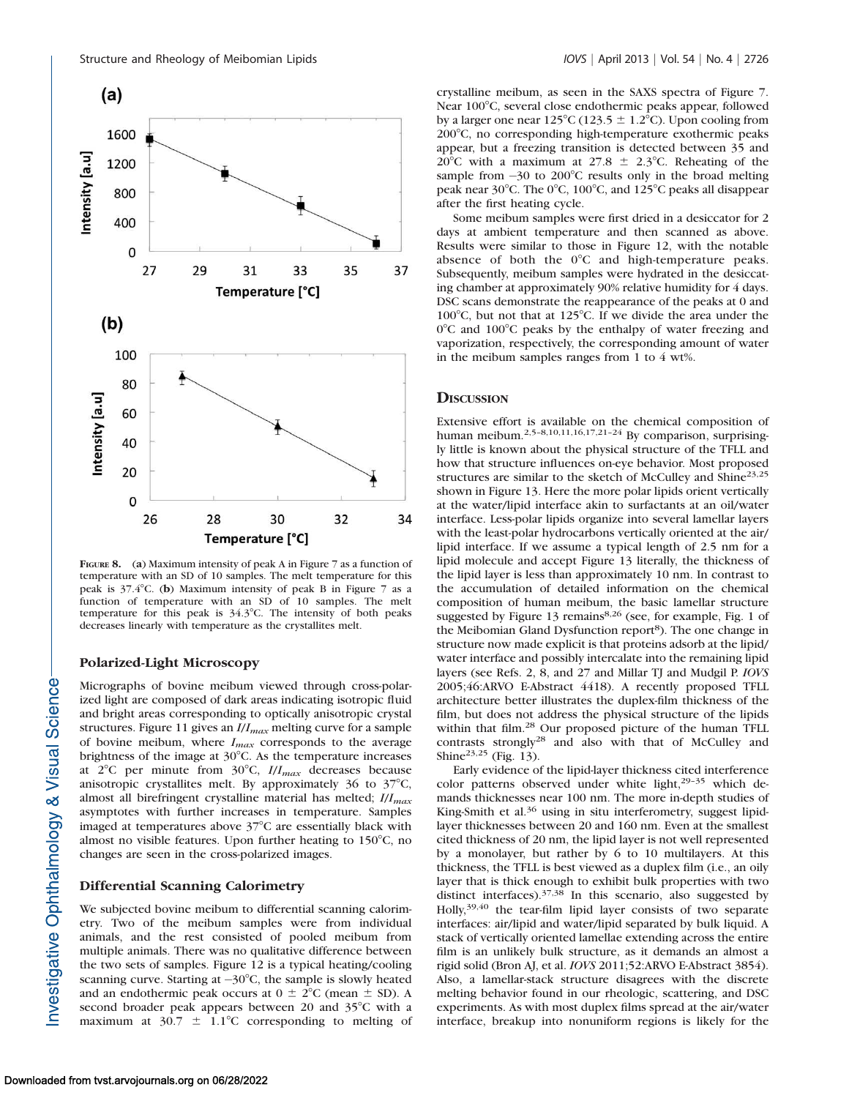

FIGURE 8. (a) Maximum intensity of peak A in Figure 7 as a function of temperature with an SD of 10 samples. The melt temperature for this peak is  $37.4^{\circ}$ C. (b) Maximum intensity of peak B in Figure 7 as a function of temperature with an SD of 10 samples. The melt temperature for this peak is  $34.3^{\circ}$ C. The intensity of both peaks decreases linearly with temperature as the crystallites melt.

## Polarized-Light Microscopy

Micrographs of bovine meibum viewed through cross-polarized light are composed of dark areas indicating isotropic fluid and bright areas corresponding to optically anisotropic crystal structures. Figure 11 gives an  $I/I_{max}$  melting curve for a sample of bovine meibum, where  $I_{max}$  corresponds to the average brightness of the image at  $30^{\circ}$ C. As the temperature increases at  $2^{\circ}$ C per minute from  $30^{\circ}$ C,  $I/I_{max}$  decreases because anisotropic crystallites melt. By approximately  $36$  to  $37^{\circ}$ C, almost all birefringent crystalline material has melted;  $I/I_{max}$ asymptotes with further increases in temperature. Samples imaged at temperatures above  $37^{\circ}$ C are essentially black with almost no visible features. Upon further heating to  $150^{\circ}$ C, no changes are seen in the cross-polarized images.

## Differential Scanning Calorimetry

We subjected bovine meibum to differential scanning calorimetry. Two of the meibum samples were from individual animals, and the rest consisted of pooled meibum from multiple animals. There was no qualitative difference between the two sets of samples. Figure 12 is a typical heating/cooling scanning curve. Starting at  $-30^{\circ}$ C, the sample is slowly heated and an endothermic peak occurs at  $0 \pm 2^{\circ}C$  (mean  $\pm$  SD). A second broader peak appears between 20 and  $35^{\circ}$ C with a maximum at  $30.7 \pm 1.1^{\circ}$ C corresponding to melting of crystalline meibum, as seen in the SAXS spectra of Figure 7. Near 100°C, several close endothermic peaks appear, followed by a larger one near 125°C (123.5  $\pm$  1.2°C). Upon cooling from 2008C, no corresponding high-temperature exothermic peaks appear, but a freezing transition is detected between 35 and 20<sup>°</sup>C with a maximum at 27.8  $\pm$  2.3<sup>°</sup>C. Reheating of the sample from  $-30$  to 200°C results only in the broad melting peak near  $30^{\circ}$ C. The  $0^{\circ}$ C,  $100^{\circ}$ C, and  $125^{\circ}$ C peaks all disappear after the first heating cycle.

Some meibum samples were first dried in a desiccator for 2 days at ambient temperature and then scanned as above. Results were similar to those in Figure 12, with the notable absence of both the  $0^{\circ}$ C and high-temperature peaks. Subsequently, meibum samples were hydrated in the desiccating chamber at approximately 90% relative humidity for 4 days. DSC scans demonstrate the reappearance of the peaks at 0 and 100 $\degree$ C, but not that at 125 $\degree$ C. If we divide the area under the  $0^{\circ}$ C and 100 $^{\circ}$ C peaks by the enthalpy of water freezing and vaporization, respectively, the corresponding amount of water in the meibum samples ranges from 1 to 4 wt%.

## **DISCUSSION**

Extensive effort is available on the chemical composition of human meibum.<sup>2,5–8,10,11,16,17,21–24</sup> By comparison, surprisingly little is known about the physical structure of the TFLL and how that structure influences on-eye behavior. Most proposed structures are similar to the sketch of McCulley and Shine<sup>23,25</sup> shown in Figure 13. Here the more polar lipids orient vertically at the water/lipid interface akin to surfactants at an oil/water interface. Less-polar lipids organize into several lamellar layers with the least-polar hydrocarbons vertically oriented at the air/ lipid interface. If we assume a typical length of 2.5 nm for a lipid molecule and accept Figure 13 literally, the thickness of the lipid layer is less than approximately 10 nm. In contrast to the accumulation of detailed information on the chemical composition of human meibum, the basic lamellar structure suggested by Figure 13 remains<sup>8,26</sup> (see, for example, Fig. 1 of the Meibomian Gland Dysfunction report<sup>8</sup>). The one change in structure now made explicit is that proteins adsorb at the lipid/ water interface and possibly intercalate into the remaining lipid layers (see Refs. 2, 8, and 27 and Millar TJ and Mudgil P. IOVS 2005;46:ARVO E-Abstract 4418). A recently proposed TFLL architecture better illustrates the duplex-film thickness of the film, but does not address the physical structure of the lipids within that film.<sup>28</sup> Our proposed picture of the human TFLL contrasts strongly28 and also with that of McCulley and Shine23,25 (Fig. 13).

Early evidence of the lipid-layer thickness cited interference color patterns observed under white light,<sup>29-35</sup> which demands thicknesses near 100 nm. The more in-depth studies of King-Smith et al.<sup>36</sup> using in situ interferometry, suggest lipidlayer thicknesses between 20 and 160 nm. Even at the smallest cited thickness of 20 nm, the lipid layer is not well represented by a monolayer, but rather by 6 to 10 multilayers. At this thickness, the TFLL is best viewed as a duplex film (i.e., an oily layer that is thick enough to exhibit bulk properties with two distinct interfaces).37,38 In this scenario, also suggested by Holly,<sup>39,40</sup> the tear-film lipid layer consists of two separate interfaces: air/lipid and water/lipid separated by bulk liquid. A stack of vertically oriented lamellae extending across the entire film is an unlikely bulk structure, as it demands an almost a rigid solid (Bron AJ, et al. IOVS 2011;52:ARVO E-Abstract 3854). Also, a lamellar-stack structure disagrees with the discrete melting behavior found in our rheologic, scattering, and DSC experiments. As with most duplex films spread at the air/water interface, breakup into nonuniform regions is likely for the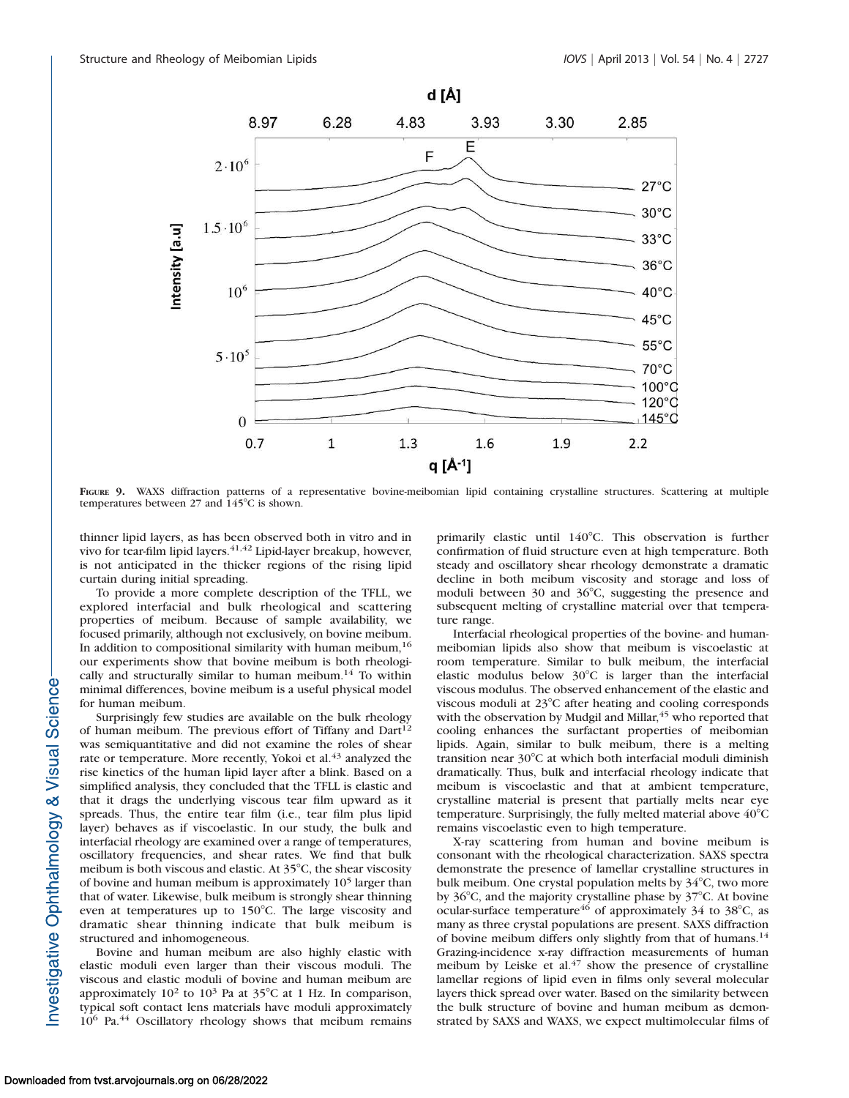

FIGURE 9. WAXS diffraction patterns of a representative bovine-meibomian lipid containing crystalline structures. Scattering at multiple temperatures between  $27$  and  $145^{\circ}$ C is shown.

thinner lipid layers, as has been observed both in vitro and in vivo for tear-film lipid layers.<sup>41,42</sup> Lipid-layer breakup, however, is not anticipated in the thicker regions of the rising lipid curtain during initial spreading.

To provide a more complete description of the TFLL, we explored interfacial and bulk rheological and scattering properties of meibum. Because of sample availability, we focused primarily, although not exclusively, on bovine meibum. In addition to compositional similarity with human meibum,  $16$ our experiments show that bovine meibum is both rheologically and structurally similar to human meibum.<sup>14</sup> To within minimal differences, bovine meibum is a useful physical model for human meibum.

Surprisingly few studies are available on the bulk rheology of human meibum. The previous effort of Tiffany and Dart<sup>12</sup> was semiquantitative and did not examine the roles of shear rate or temperature. More recently, Yokoi et al.<sup>43</sup> analyzed the rise kinetics of the human lipid layer after a blink. Based on a simplified analysis, they concluded that the TFLL is elastic and that it drags the underlying viscous tear film upward as it spreads. Thus, the entire tear film (i.e., tear film plus lipid layer) behaves as if viscoelastic. In our study, the bulk and interfacial rheology are examined over a range of temperatures, oscillatory frequencies, and shear rates. We find that bulk meibum is both viscous and elastic. At  $35^{\circ}$ C, the shear viscosity of bovine and human meibum is approximately 10<sup>5</sup> larger than that of water. Likewise, bulk meibum is strongly shear thinning even at temperatures up to  $150^{\circ}$ C. The large viscosity and dramatic shear thinning indicate that bulk meibum is structured and inhomogeneous.

Bovine and human meibum are also highly elastic with elastic moduli even larger than their viscous moduli. The viscous and elastic moduli of bovine and human meibum are approximately  $10^2$  to  $10^3$  Pa at  $35^{\circ}$ C at 1 Hz. In comparison, typical soft contact lens materials have moduli approximately  $10^6$  Pa.<sup>44</sup> Oscillatory rheology shows that meibum remains primarily elastic until  $140^{\circ}$ C. This observation is further confirmation of fluid structure even at high temperature. Both steady and oscillatory shear rheology demonstrate a dramatic decline in both meibum viscosity and storage and loss of moduli between  $30$  and  $36^{\circ}$ C, suggesting the presence and subsequent melting of crystalline material over that temperature range.

Interfacial rheological properties of the bovine- and humanmeibomian lipids also show that meibum is viscoelastic at room temperature. Similar to bulk meibum, the interfacial elastic modulus below  $30^{\circ}$ C is larger than the interfacial viscous modulus. The observed enhancement of the elastic and viscous moduli at  $23^{\circ}$ C after heating and cooling corresponds with the observation by Mudgil and Millar,<sup>45</sup> who reported that cooling enhances the surfactant properties of meibomian lipids. Again, similar to bulk meibum, there is a melting transition near 30°C at which both interfacial moduli diminish dramatically. Thus, bulk and interfacial rheology indicate that meibum is viscoelastic and that at ambient temperature, crystalline material is present that partially melts near eye temperature. Surprisingly, the fully melted material above  $40^{\circ}$ C remains viscoelastic even to high temperature.

X-ray scattering from human and bovine meibum is consonant with the rheological characterization. SAXS spectra demonstrate the presence of lamellar crystalline structures in bulk meibum. One crystal population melts by  $34^{\circ}$ C, two more by  $36^{\circ}$ C, and the majority crystalline phase by  $37^{\circ}$ C. At bovine ocular-surface temperature<sup>46</sup> of approximately 34 to 38 $^{\circ}$ C, as many as three crystal populations are present. SAXS diffraction of bovine meibum differs only slightly from that of humans.<sup>14</sup> Grazing-incidence x-ray diffraction measurements of human meibum by Leiske et al. $47$  show the presence of crystalline lamellar regions of lipid even in films only several molecular layers thick spread over water. Based on the similarity between the bulk structure of bovine and human meibum as demonstrated by SAXS and WAXS, we expect multimolecular films of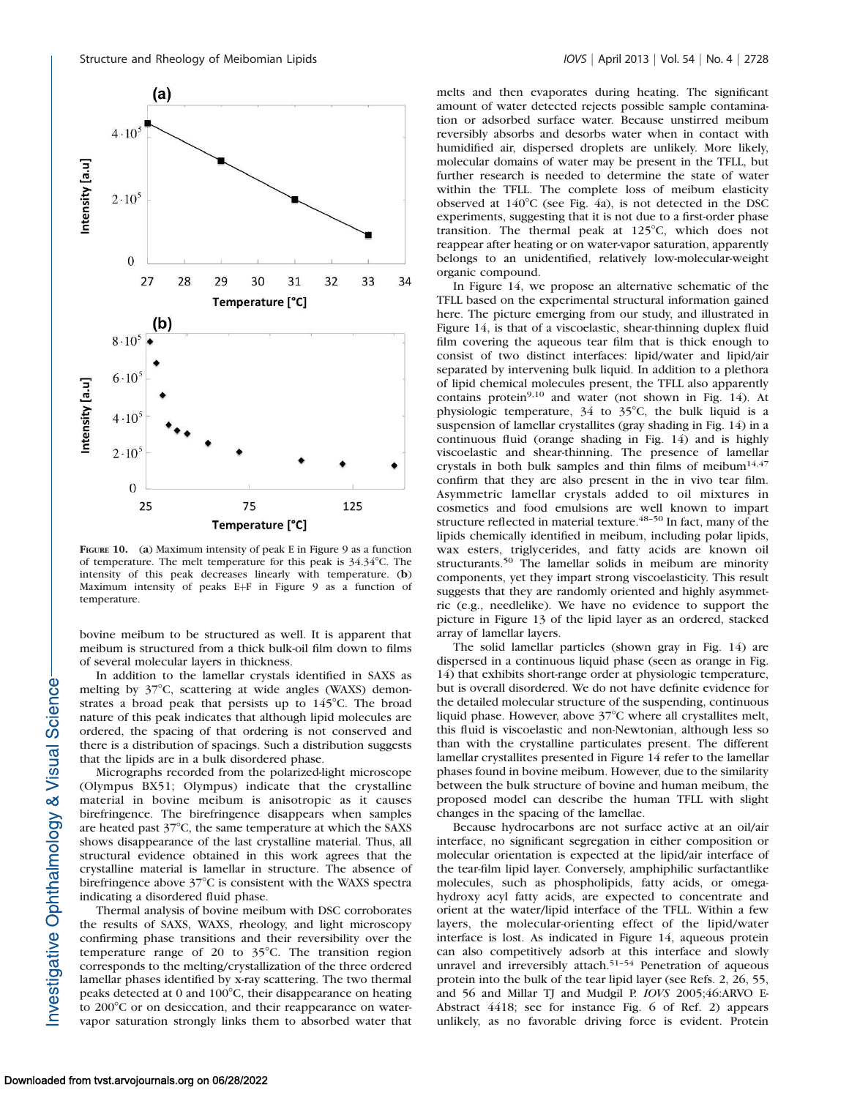

FIGURE 10. (a) Maximum intensity of peak E in Figure 9 as a function of temperature. The melt temperature for this peak is  $34.34^{\circ}$ C. The intensity of this peak decreases linearly with temperature. (b) Maximum intensity of peaks E+F in Figure 9 as a function of temperature.

bovine meibum to be structured as well. It is apparent that meibum is structured from a thick bulk-oil film down to films of several molecular layers in thickness.

In addition to the lamellar crystals identified in SAXS as melting by  $37^{\circ}$ C, scattering at wide angles (WAXS) demonstrates a broad peak that persists up to  $145^{\circ}$ C. The broad nature of this peak indicates that although lipid molecules are ordered, the spacing of that ordering is not conserved and there is a distribution of spacings. Such a distribution suggests that the lipids are in a bulk disordered phase.

Micrographs recorded from the polarized-light microscope (Olympus BX51; Olympus) indicate that the crystalline material in bovine meibum is anisotropic as it causes birefringence. The birefringence disappears when samples are heated past  $37^{\circ}$ C, the same temperature at which the SAXS shows disappearance of the last crystalline material. Thus, all structural evidence obtained in this work agrees that the crystalline material is lamellar in structure. The absence of birefringence above  $37^{\circ}$ C is consistent with the WAXS spectra indicating a disordered fluid phase.

Thermal analysis of bovine meibum with DSC corroborates the results of SAXS, WAXS, rheology, and light microscopy confirming phase transitions and their reversibility over the temperature range of 20 to  $35^{\circ}$ C. The transition region corresponds to the melting/crystallization of the three ordered lamellar phases identified by x-ray scattering. The two thermal peaks detected at 0 and  $100^{\circ}$ C, their disappearance on heating to 200°C or on desiccation, and their reappearance on watervapor saturation strongly links them to absorbed water that

melts and then evaporates during heating. The significant amount of water detected rejects possible sample contamination or adsorbed surface water. Because unstirred meibum reversibly absorbs and desorbs water when in contact with humidified air, dispersed droplets are unlikely. More likely, molecular domains of water may be present in the TFLL, but further research is needed to determine the state of water within the TFLL. The complete loss of meibum elasticity observed at  $140^{\circ}$ C (see Fig. 4a), is not detected in the DSC experiments, suggesting that it is not due to a first-order phase transition. The thermal peak at  $125^{\circ}$ C, which does not reappear after heating or on water-vapor saturation, apparently belongs to an unidentified, relatively low-molecular-weight organic compound.

In Figure 14, we propose an alternative schematic of the TFLL based on the experimental structural information gained here. The picture emerging from our study, and illustrated in Figure 14, is that of a viscoelastic, shear-thinning duplex fluid film covering the aqueous tear film that is thick enough to consist of two distinct interfaces: lipid/water and lipid/air separated by intervening bulk liquid. In addition to a plethora of lipid chemical molecules present, the TFLL also apparently contains protein $9,10$  and water (not shown in Fig. 14). At physiologic temperature,  $34$  to  $35^{\circ}$ C, the bulk liquid is a suspension of lamellar crystallites (gray shading in Fig. 14) in a continuous fluid (orange shading in Fig. 14) and is highly viscoelastic and shear-thinning. The presence of lamellar crystals in both bulk samples and thin films of meibum<sup>14,47</sup> confirm that they are also present in the in vivo tear film. Asymmetric lamellar crystals added to oil mixtures in cosmetics and food emulsions are well known to impart structure reflected in material texture. $48-50$  In fact, many of the lipids chemically identified in meibum, including polar lipids, wax esters, triglycerides, and fatty acids are known oil structurants.<sup>50</sup> The lamellar solids in meibum are minority components, yet they impart strong viscoelasticity. This result suggests that they are randomly oriented and highly asymmetric (e.g., needlelike). We have no evidence to support the picture in Figure 13 of the lipid layer as an ordered, stacked array of lamellar layers.

The solid lamellar particles (shown gray in Fig. 14) are dispersed in a continuous liquid phase (seen as orange in Fig. 14) that exhibits short-range order at physiologic temperature, but is overall disordered. We do not have definite evidence for the detailed molecular structure of the suspending, continuous liquid phase. However, above  $37^{\circ}$ C where all crystallites melt, this fluid is viscoelastic and non-Newtonian, although less so than with the crystalline particulates present. The different lamellar crystallites presented in Figure 14 refer to the lamellar phases found in bovine meibum. However, due to the similarity between the bulk structure of bovine and human meibum, the proposed model can describe the human TFLL with slight changes in the spacing of the lamellae.

Because hydrocarbons are not surface active at an oil/air interface, no significant segregation in either composition or molecular orientation is expected at the lipid/air interface of the tear-film lipid layer. Conversely, amphiphilic surfactantlike molecules, such as phospholipids, fatty acids, or omegahydroxy acyl fatty acids, are expected to concentrate and orient at the water/lipid interface of the TFLL. Within a few layers, the molecular-orienting effect of the lipid/water interface is lost. As indicated in Figure 14, aqueous protein can also competitively adsorb at this interface and slowly unravel and irreversibly attach.<sup>51-54</sup> Penetration of aqueous protein into the bulk of the tear lipid layer (see Refs. 2, 26, 55, and 56 and Millar TJ and Mudgil P. IOVS 2005;46:ARVO E-Abstract 4418; see for instance Fig. 6 of Ref. 2) appears unlikely, as no favorable driving force is evident. Protein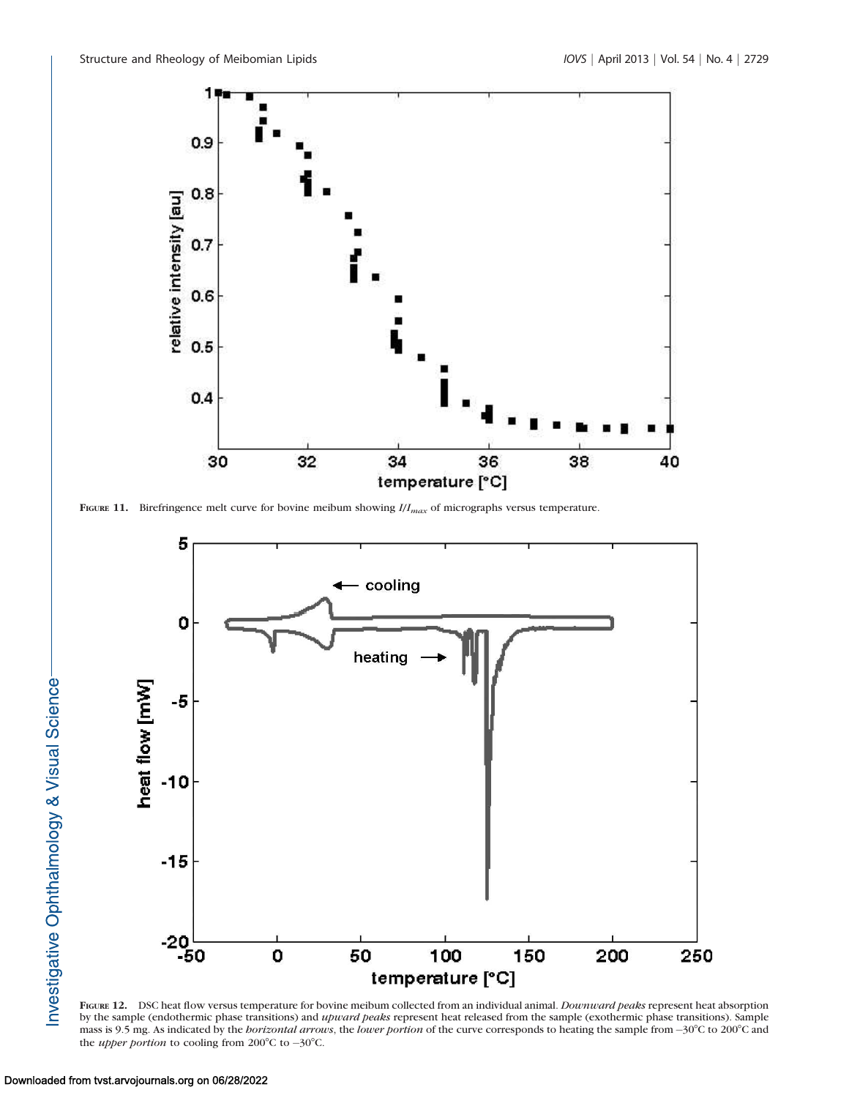

FIGURE 11. Birefringence melt curve for bovine meibum showing  $I/I_{max}$  of micrographs versus temperature.



FIGURE 12. DSC heat flow versus temperature for bovine meibum collected from an individual animal. Downward peaks represent heat absorption by the sample (endothermic phase transitions) and *upward peaks* represent heat released from the sample (exothermic phase transitions). Sample mass is 9.5 mg. As indicated by the *borizontal arrows*, the *lower portion* of the curve corresponds to heating the sample from  $-30^{\circ}$ C to 200°C and the *upper portion* to cooling from 200 $^{\circ}$ C to  $-30^{\circ}$ C.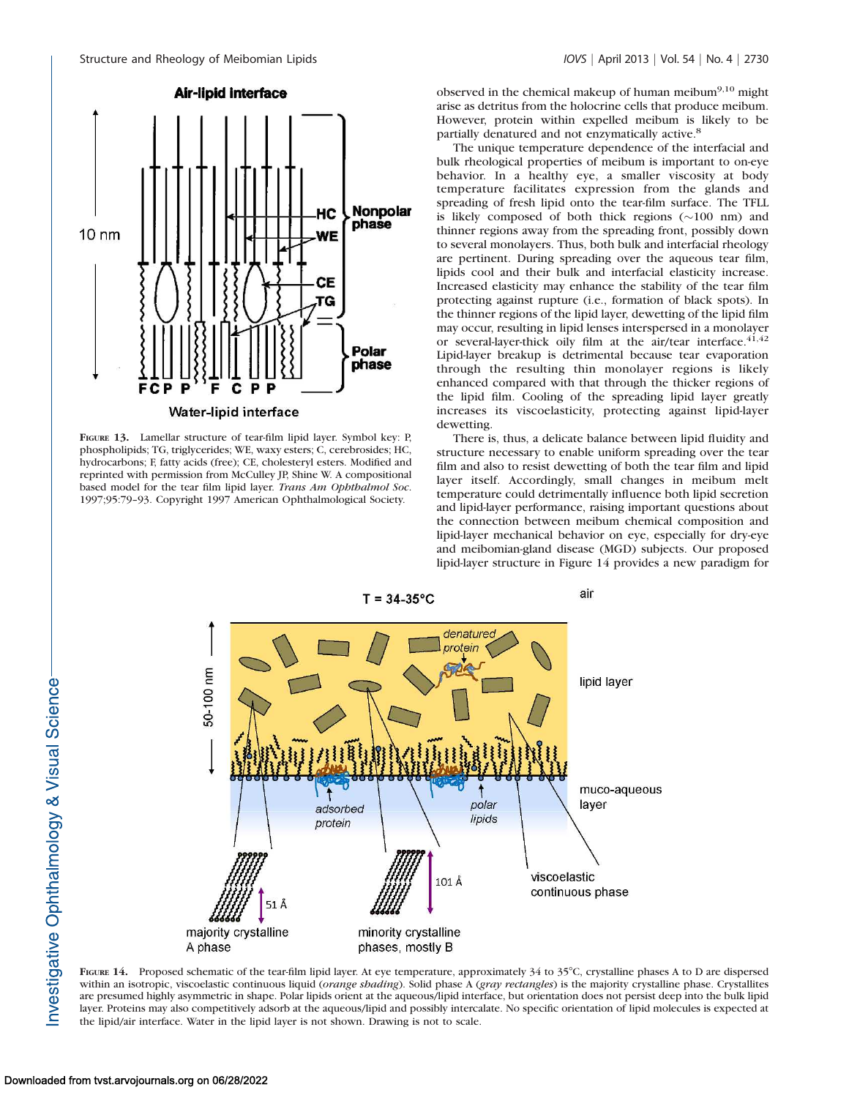

Water-lipid interface

FIGURE 13. Lamellar structure of tear-film lipid layer. Symbol key: P, phospholipids; TG, triglycerides; WE, waxy esters; C, cerebrosides; HC, hydrocarbons; F, fatty acids (free); CE, cholesteryl esters. Modified and reprinted with permission from McCulley JP, Shine W. A compositional based model for the tear film lipid layer. Trans Am Ophthalmol Soc. 1997;95:79–93. Copyright 1997 American Ophthalmological Society.

observed in the chemical makeup of human meibum9,10 might arise as detritus from the holocrine cells that produce meibum. However, protein within expelled meibum is likely to be partially denatured and not enzymatically active.8

The unique temperature dependence of the interfacial and bulk rheological properties of meibum is important to on-eye behavior. In a healthy eye, a smaller viscosity at body temperature facilitates expression from the glands and spreading of fresh lipid onto the tear-film surface. The TFLL is likely composed of both thick regions  $(\sim 100 \text{ nm})$  and thinner regions away from the spreading front, possibly down to several monolayers. Thus, both bulk and interfacial rheology are pertinent. During spreading over the aqueous tear film, lipids cool and their bulk and interfacial elasticity increase. Increased elasticity may enhance the stability of the tear film protecting against rupture (i.e., formation of black spots). In the thinner regions of the lipid layer, dewetting of the lipid film may occur, resulting in lipid lenses interspersed in a monolayer or several-layer-thick oily film at the air/tear interface.<sup>41,42</sup> Lipid-layer breakup is detrimental because tear evaporation through the resulting thin monolayer regions is likely enhanced compared with that through the thicker regions of the lipid film. Cooling of the spreading lipid layer greatly increases its viscoelasticity, protecting against lipid-layer dewetting.

There is, thus, a delicate balance between lipid fluidity and structure necessary to enable uniform spreading over the tear film and also to resist dewetting of both the tear film and lipid layer itself. Accordingly, small changes in meibum melt temperature could detrimentally influence both lipid secretion and lipid-layer performance, raising important questions about the connection between meibum chemical composition and lipid-layer mechanical behavior on eye, especially for dry-eye and meibomian-gland disease (MGD) subjects. Our proposed lipid-layer structure in Figure 14 provides a new paradigm for



FIGURE 14. Proposed schematic of the tear-film lipid layer. At eye temperature, approximately 34 to 35°C, crystalline phases A to D are dispersed within an isotropic, viscoelastic continuous liquid (orange shading). Solid phase A (gray rectangles) is the majority crystalline phase. Crystallites are presumed highly asymmetric in shape. Polar lipids orient at the aqueous/lipid interface, but orientation does not persist deep into the bulk lipid layer. Proteins may also competitively adsorb at the aqueous/lipid and possibly intercalate. No specific orientation of lipid molecules is expected at the lipid/air interface. Water in the lipid layer is not shown. Drawing is not to scale.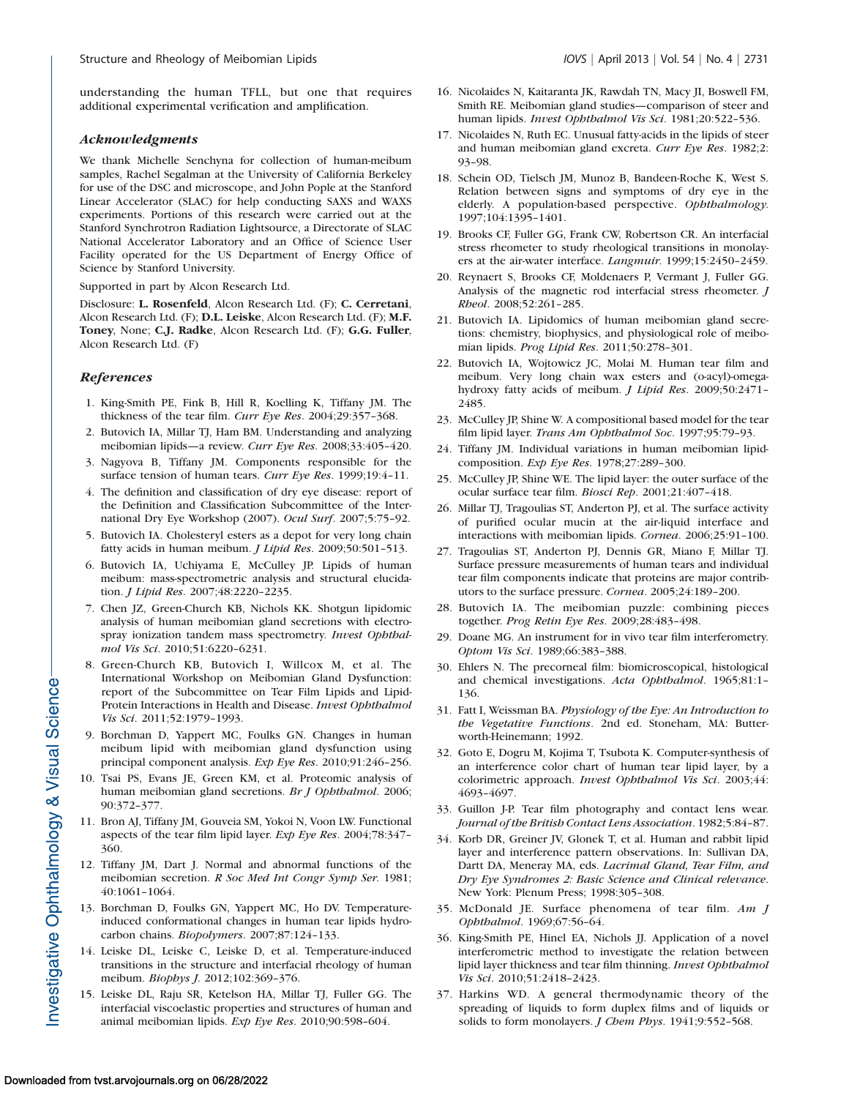understanding the human TFLL, but one that requires additional experimental verification and amplification.

#### Acknowledgments

We thank Michelle Senchyna for collection of human-meibum samples, Rachel Segalman at the University of California Berkeley for use of the DSC and microscope, and John Pople at the Stanford Linear Accelerator (SLAC) for help conducting SAXS and WAXS experiments. Portions of this research were carried out at the Stanford Synchrotron Radiation Lightsource, a Directorate of SLAC National Accelerator Laboratory and an Office of Science User Facility operated for the US Department of Energy Office of Science by Stanford University.

Supported in part by Alcon Research Ltd.

Disclosure: L. Rosenfeld, Alcon Research Ltd. (F); C. Cerretani, Alcon Research Ltd. (F); D.L. Leiske, Alcon Research Ltd. (F); M.F. Toney, None; C.J. Radke, Alcon Research Ltd. (F); G.G. Fuller, Alcon Research Ltd. (F)

#### **References**

- 1. King-Smith PE, Fink B, Hill R, Koelling K, Tiffany JM. The thickness of the tear film. Curr Eye Res. 2004;29:357–368.
- 2. Butovich IA, Millar TJ, Ham BM. Understanding and analyzing meibomian lipids—a review. Curr Eye Res. 2008;33:405–420.
- 3. Nagyova B, Tiffany JM. Components responsible for the surface tension of human tears. Curr Eye Res. 1999;19:4-11.
- 4. The definition and classification of dry eye disease: report of the Definition and Classification Subcommittee of the International Dry Eye Workshop (2007). Ocul Surf. 2007;5:75–92.
- 5. Butovich IA. Cholesteryl esters as a depot for very long chain fatty acids in human meibum. *J Lipid Res*. 2009;50:501-513.
- 6. Butovich IA, Uchiyama E, McCulley JP. Lipids of human meibum: mass-spectrometric analysis and structural elucidation. J Lipid Res. 2007;48:2220–2235.
- 7. Chen JZ, Green-Church KB, Nichols KK. Shotgun lipidomic analysis of human meibomian gland secretions with electrospray ionization tandem mass spectrometry. Invest Ophthalmol Vis Sci. 2010;51:6220–6231.
- 8. Green-Church KB, Butovich I, Willcox M, et al. The International Workshop on Meibomian Gland Dysfunction: report of the Subcommittee on Tear Film Lipids and Lipid-Protein Interactions in Health and Disease. Invest Ophthalmol Vis Sci. 2011;52:1979–1993.
- 9. Borchman D, Yappert MC, Foulks GN. Changes in human meibum lipid with meibomian gland dysfunction using principal component analysis. Exp Eye Res. 2010;91:246–256.
- 10. Tsai PS, Evans JE, Green KM, et al. Proteomic analysis of human meibomian gland secretions. Br J Ophthalmol. 2006; 90:372–377.
- 11. Bron AJ, Tiffany JM, Gouveia SM, Yokoi N, Voon LW. Functional aspects of the tear film lipid layer. Exp Eye Res. 2004;78:347– 360.
- 12. Tiffany JM, Dart J. Normal and abnormal functions of the meibomian secretion. R Soc Med Int Congr Symp Ser. 1981; 40:1061–1064.
- 13. Borchman D, Foulks GN, Yappert MC, Ho DV. Temperatureinduced conformational changes in human tear lipids hydrocarbon chains. Biopolymers. 2007;87:124–133.
- 14. Leiske DL, Leiske C, Leiske D, et al. Temperature-induced transitions in the structure and interfacial rheology of human meibum. Biophys J. 2012;102:369–376.
- 15. Leiske DL, Raju SR, Ketelson HA, Millar TJ, Fuller GG. The interfacial viscoelastic properties and structures of human and animal meibomian lipids. Exp Eye Res. 2010;90:598–604.
- 16. Nicolaides N, Kaitaranta JK, Rawdah TN, Macy JI, Boswell FM, Smith RE. Meibomian gland studies—comparison of steer and human lipids. Invest Ophthalmol Vis Sci. 1981;20:522–536.
- 17. Nicolaides N, Ruth EC. Unusual fatty-acids in the lipids of steer and human meibomian gland excreta. Curr Eye Res. 1982;2: 93–98.
- 18. Schein OD, Tielsch JM, Munoz B, Bandeen-Roche K, West S. Relation between signs and symptoms of dry eye in the elderly. A population-based perspective. Ophthalmology. 1997;104:1395–1401.
- 19. Brooks CF, Fuller GG, Frank CW, Robertson CR. An interfacial stress rheometer to study rheological transitions in monolayers at the air-water interface. Langmuir. 1999;15:2450–2459.
- 20. Reynaert S, Brooks CF, Moldenaers P, Vermant J, Fuller GG. Analysis of the magnetic rod interfacial stress rheometer. J Rheol. 2008;52:261–285.
- 21. Butovich IA. Lipidomics of human meibomian gland secretions: chemistry, biophysics, and physiological role of meibomian lipids. Prog Lipid Res. 2011;50:278–301.
- 22. Butovich IA, Wojtowicz JC, Molai M. Human tear film and meibum. Very long chain wax esters and (o-acyl)-omegahydroxy fatty acids of meibum. J Lipid Res. 2009;50:2471– 2485.
- 23. McCulley JP, Shine W. A compositional based model for the tear film lipid layer. Trans Am Ophthalmol Soc. 1997;95:79–93.
- 24. Tiffany JM. Individual variations in human meibomian lipidcomposition. Exp Eye Res. 1978;27:289–300.
- 25. McCulley JP, Shine WE. The lipid layer: the outer surface of the ocular surface tear film. Biosci Rep. 2001;21:407–418.
- 26. Millar TJ, Tragoulias ST, Anderton PJ, et al. The surface activity of purified ocular mucin at the air-liquid interface and interactions with meibomian lipids. Cornea. 2006;25:91–100.
- 27. Tragoulias ST, Anderton PJ, Dennis GR, Miano F, Millar TJ. Surface pressure measurements of human tears and individual tear film components indicate that proteins are major contributors to the surface pressure. Cornea. 2005;24:189–200.
- 28. Butovich IA. The meibomian puzzle: combining pieces together. Prog Retin Eye Res. 2009;28:483–498.
- 29. Doane MG. An instrument for in vivo tear film interferometry. Optom Vis Sci. 1989;66:383–388.
- 30. Ehlers N. The precorneal film: biomicroscopical, histological and chemical investigations. Acta Ophthalmol. 1965;81:1– 136.
- 31. Fatt I, Weissman BA. Physiology of the Eye: An Introduction to the Vegetative Functions. 2nd ed. Stoneham, MA: Butterworth-Heinemann; 1992.
- 32. Goto E, Dogru M, Kojima T, Tsubota K. Computer-synthesis of an interference color chart of human tear lipid layer, by a colorimetric approach. Invest Ophthalmol Vis Sci. 2003;44: 4693–4697.
- 33. Guillon J-P. Tear film photography and contact lens wear. Journal of the British Contact Lens Association. 1982;5:84–87.
- 34. Korb DR, Greiner JV, Glonek T, et al. Human and rabbit lipid layer and interference pattern observations. In: Sullivan DA, Dartt DA, Meneray MA, eds. Lacrimal Gland, Tear Film, and Dry Eye Syndromes 2: Basic Science and Clinical relevance. New York: Plenum Press; 1998:305–308.
- 35. McDonald JE. Surface phenomena of tear film. Am J Ophthalmol. 1969;67:56–64.
- 36. King-Smith PE, Hinel EA, Nichols JJ. Application of a novel interferometric method to investigate the relation between lipid layer thickness and tear film thinning. Invest Ophthalmol Vis Sci. 2010;51:2418–2423.
- 37. Harkins WD. A general thermodynamic theory of the spreading of liquids to form duplex films and of liquids or solids to form monolayers. J Chem Phys. 1941;9:552-568.